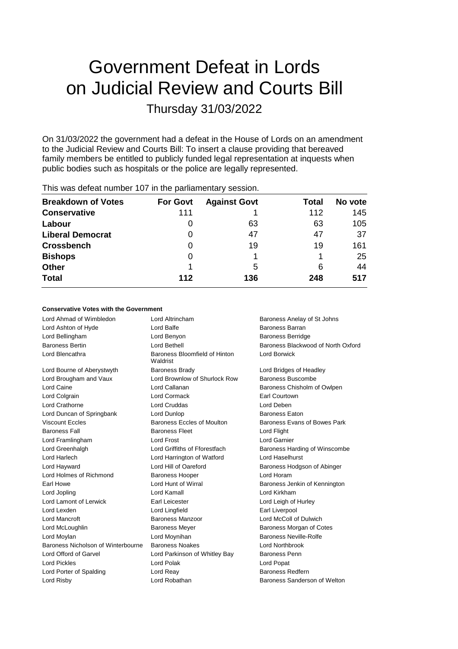# Government Defeat in Lords on Judicial Review and Courts Bill Thursday 31/03/2022

On 31/03/2022 the government had a defeat in the House of Lords on an amendment to the Judicial Review and Courts Bill: To insert a clause providing that bereaved family members be entitled to publicly funded legal representation at inquests when public bodies such as hospitals or the police are legally represented.

| <b>Breakdown of Votes</b> | <b>For Govt</b> | <b>Against Govt</b> | Total | No vote |
|---------------------------|-----------------|---------------------|-------|---------|
| <b>Conservative</b>       | 111             |                     | 112   | 145     |
| Labour                    | O               | 63                  | 63    | 105     |
| <b>Liberal Democrat</b>   | 0               | 47                  | 47    | 37      |
| <b>Crossbench</b>         | 0               | 19                  | 19    | 161     |
| <b>Bishops</b>            | 0               |                     |       | 25      |
| <b>Other</b>              |                 | 5                   | 6     | 44      |
| <b>Total</b>              | 112             | 136                 | 248   | 517     |
|                           |                 |                     |       |         |

# This was defeat number 107 in the parliamentary session.

#### **Conservative Votes with the Government**

| Lord Ahmad of Wimbledon            | Lord Altrincham                           | Baroness Anelay of St Johns        |
|------------------------------------|-------------------------------------------|------------------------------------|
| Lord Ashton of Hyde                | Lord Balfe                                | Baroness Barran                    |
| Lord Bellingham                    | Lord Benyon                               | <b>Baroness Berridge</b>           |
| <b>Baroness Bertin</b>             | Lord Bethell                              | Baroness Blackwood of North Oxford |
| Lord Blencathra                    | Baroness Bloomfield of Hinton<br>Waldrist | <b>Lord Borwick</b>                |
| Lord Bourne of Aberystwyth         | <b>Baroness Brady</b>                     | Lord Bridges of Headley            |
| Lord Brougham and Vaux             | Lord Brownlow of Shurlock Row             | Baroness Buscombe                  |
| Lord Caine                         | Lord Callanan                             | Baroness Chisholm of Owlpen        |
| Lord Colgrain                      | Lord Cormack                              | Earl Courtown                      |
| Lord Crathorne                     | Lord Cruddas                              | Lord Deben                         |
| Lord Duncan of Springbank          | Lord Dunlop                               | <b>Baroness Eaton</b>              |
| <b>Viscount Eccles</b>             | Baroness Eccles of Moulton                | Baroness Evans of Bowes Park       |
| <b>Baroness Fall</b>               | <b>Baroness Fleet</b>                     | Lord Flight                        |
| Lord Framlingham                   | Lord Frost                                | Lord Garnier                       |
| Lord Greenhalgh                    | Lord Griffiths of Fforestfach             | Baroness Harding of Winscombe      |
| Lord Harlech                       | Lord Harrington of Watford                | Lord Haselhurst                    |
| Lord Hayward                       | Lord Hill of Oareford                     | Baroness Hodgson of Abinger        |
| Lord Holmes of Richmond            | <b>Baroness Hooper</b>                    | I ord Horam                        |
| Earl Howe                          | Lord Hunt of Wirral                       | Baroness Jenkin of Kennington      |
| Lord Jopling                       | Lord Kamall                               | Lord Kirkham                       |
| Lord Lamont of Lerwick             | Earl Leicester                            | Lord Leigh of Hurley               |
| Lord Lexden                        | Lord Lingfield                            | Earl Liverpool                     |
| Lord Mancroft                      | Baroness Manzoor                          | Lord McColl of Dulwich             |
| Lord McLoughlin                    | <b>Baroness Meyer</b>                     | Baroness Morgan of Cotes           |
| Lord Moylan                        | Lord Moynihan                             | Baroness Neville-Rolfe             |
| Baroness Nicholson of Winterbourne | <b>Baroness Noakes</b>                    | <b>Lord Northbrook</b>             |
| Lord Offord of Garvel              | Lord Parkinson of Whitley Bay             | Baroness Penn                      |
| <b>Lord Pickles</b>                | Lord Polak                                | Lord Popat                         |
| Lord Porter of Spalding            | Lord Reay                                 | <b>Baroness Redfern</b>            |
| Lord Risby                         | Lord Robathan                             | Baroness Sanderson of Welton       |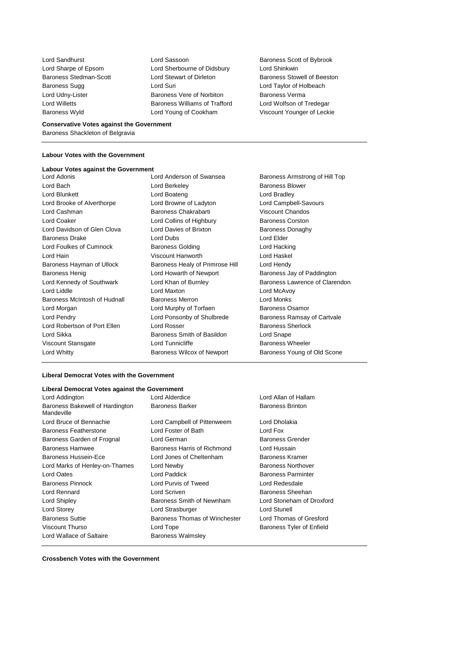Lord Sandhurst Lord Sassoon Baroness Scott of Bybrook Lord Sharpe of Epsom Lord Sherbourne of Didsbury Lord Shinkwin Baroness Stedman-Scott Lord Stewart of Dirleton Baroness Stowell of Beeston Baroness Sugg **Lord Suri Lord Suri Lord Taylor of Holbeach** Core Lord Udny-Lister **Baroness Vere of Norbiton** Baroness Verma Lord Willetts **Baroness Williams of Trafford** Lord Wolfson of Tredegar Baroness Wyld Lord Young of Cookham Viscount Younger of Leckie

#### **Conservative Votes against the Government** Baroness Shackleton of Belgravia

## **Labour Votes with the Government**

#### **Labour Votes against the Government**

| LUIU AUUHIS                  |
|------------------------------|
| Lord Bach                    |
| Lord Blunkett                |
| Lord Brooke of Alverthorpe   |
| Lord Cashman                 |
| <b>Lord Coaker</b>           |
| Lord Davidson of Glen Clova  |
| <b>Baroness Drake</b>        |
| Lord Foulkes of Cumnock      |
| I ord Hain                   |
| Baroness Hayman of Ullock    |
| Baroness Henig               |
| Lord Kennedy of Southwark    |
| Lord Liddle                  |
| Baroness McIntosh of Hudnall |
| Lord Morgan                  |
| Lord Pendry                  |
| Lord Robertson of Port Ellen |
| Lord Sikka                   |
| Viscount Stansgate           |
| Lord Whitty                  |
|                              |

Lord Anderson of Swansea Baroness Armstrong of Hill Top Lord Berkeley **Baroness Blower** Lord Boateng **Lord Bradley** Lord Browne of Ladyton Lord Campbell-Savours Baroness Chakrabarti Viscount Chandos Lord Collins of Highbury Baroness Corston Lord Davies of Brixton **Clove Clove Clove Baroness Donaghy** Lord Dubs **Lord Elder** Baroness Golding **Lord Hacking** Viscount Hanworth Lord Haskel Baroness Healy of Primrose Hill Lord Hendy Lord Howarth of Newport **Baroness Jay of Paddington** Lord Maxton **Lord McAvoy** Baroness Merron **Example 20** Lord Monks Lord Murphy of Torfaen Baroness Osamor Lord Ponsonby of Shulbrede Baroness Ramsay of Cartvale Lord Rosser **Baroness Sherlock** Baroness Smith of Basildon Lord Snape Lord Tunnicliffe **Baroness Wheeler** Baroness Wilcox of Newport Baroness Young of Old Scone

Lord Khan of Burnley **Conners Lawrence of Clarendon** 

## **Liberal Democrat Votes with the Government**

#### **Liberal Democrat Votes against the Government**

| Lord Addington                                | Lord Alderdice                | Lord Allan of Ha       |
|-----------------------------------------------|-------------------------------|------------------------|
| Baroness Bakewell of Hardington<br>Mandeville | <b>Baroness Barker</b>        | <b>Baroness Brinto</b> |
| Lord Bruce of Bennachie                       | Lord Campbell of Pittenweem   | Lord Dholakia          |
| <b>Baroness Featherstone</b>                  | Lord Foster of Bath           | Lord Fox               |
| Baroness Garden of Frognal                    | Lord German                   | <b>Baroness Grend</b>  |
| Baroness Hamwee                               | Baroness Harris of Richmond   | Lord Hussain           |
| <b>Baroness Hussein-Ece</b>                   | Lord Jones of Cheltenham      | Baroness Krame         |
| Lord Marks of Henley-on-Thames                | Lord Newby                    | <b>Baroness Northo</b> |
| <b>Lord Oates</b>                             | Lord Paddick                  | <b>Baroness Parmi</b>  |
| <b>Baroness Pinnock</b>                       | Lord Purvis of Tweed          | Lord Redesdale         |
| Lord Rennard                                  | Lord Scriven                  | <b>Baroness Sheeh</b>  |
| Lord Shipley                                  | Baroness Smith of Newnham     | Lord Stoneham          |
| Lord Storey                                   | Lord Strasburger              | Lord Stunell           |
| <b>Baroness Suttie</b>                        | Baroness Thomas of Winchester | Lord Thomas of         |
| <b>Viscount Thurso</b>                        | Lord Tope                     | Baroness Tyler o       |
| Lord Wallace of Saltaire                      | <b>Baroness Walmsley</b>      |                        |

Allan of Hallam ness Brinton

ness Grender baroness Kramer oness Northover **Dress Parminter** ness Sheehan Stoneham of Droxford Thomas of Gresford ness Tyler of Enfield

**Crossbench Votes with the Government**